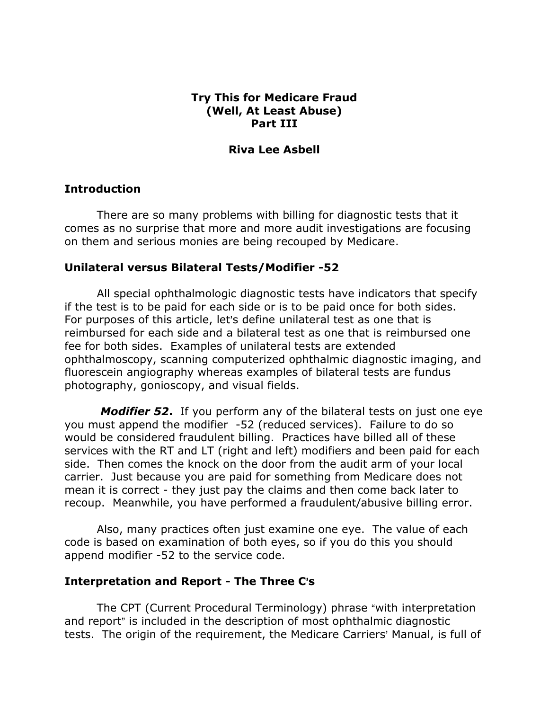# Try This for Medicare Fraud (Well, At Least Abuse) Part III

### Riva Lee Asbell

# Introduction

There are so many problems with billing for diagnostic tests that it comes as no surprise that more and more audit investigations are focusing on them and serious monies are being recouped by Medicare.

# Unilateral versus Bilateral Tests/Modifier -52

All special ophthalmologic diagnostic tests have indicators that specify if the test is to be paid for each side or is to be paid once for both sides. For purposes of this article, let's define unilateral test as one that is reimbursed for each side and a bilateral test as one that is reimbursed one fee for both sides. Examples of unilateral tests are extended ophthalmoscopy, scanning computerized ophthalmic diagnostic imaging, and fluorescein angiography whereas examples of bilateral tests are fundus photography, gonioscopy, and visual fields.

**Modifier 52.** If you perform any of the bilateral tests on just one eye you must append the modifier -52 (reduced services). Failure to do so would be considered fraudulent billing. Practices have billed all of these services with the RT and LT (right and left) modifiers and been paid for each side. Then comes the knock on the door from the audit arm of your local carrier. Just because you are paid for something from Medicare does not mean it is correct - they just pay the claims and then come back later to recoup. Meanwhile, you have performed a fraudulent/abusive billing error.

Also, many practices often just examine one eye. The value of each code is based on examination of both eyes, so if you do this you should append modifier -52 to the service code.

### Interpretation and Report - The Three C's

The CPT (Current Procedural Terminology) phrase "with interpretation and report" is included in the description of most ophthalmic diagnostic tests. The origin of the requirement, the Medicare Carriers' Manual, is full of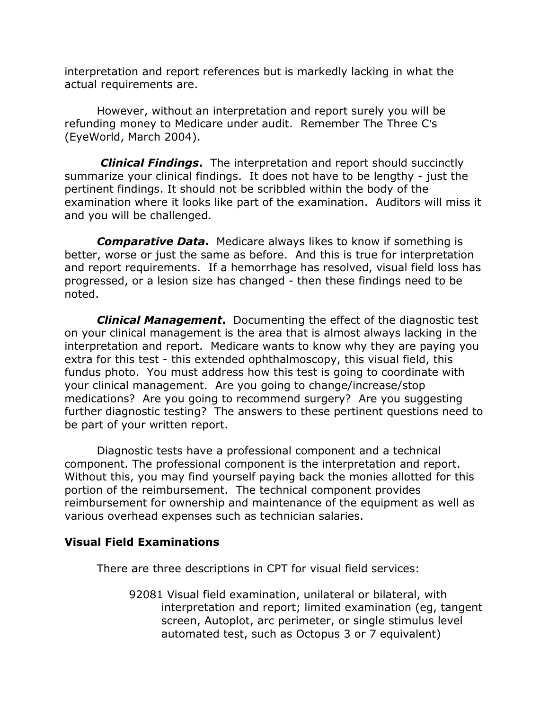interpretation and report references but is markedly lacking in what the actual requirements are.

 However, without an interpretation and report surely you will be refunding money to Medicare under audit. Remember The Three C's (EyeWorld, March 2004).

**Clinical Findings.** The interpretation and report should succinctly summarize your clinical findings. It does not have to be lengthy - just the pertinent findings. It should not be scribbled within the body of the examination where it looks like part of the examination. Auditors will miss it and you will be challenged.

**Comparative Data.** Medicare always likes to know if something is better, worse or just the same as before. And this is true for interpretation and report requirements. If a hemorrhage has resolved, visual field loss has progressed, or a lesion size has changed - then these findings need to be noted.

**Clinical Management.** Documenting the effect of the diagnostic test on your clinical management is the area that is almost always lacking in the interpretation and report. Medicare wants to know why they are paying you extra for this test - this extended ophthalmoscopy, this visual field, this fundus photo. You must address how this test is going to coordinate with your clinical management. Are you going to change/increase/stop medications? Are you going to recommend surgery? Are you suggesting further diagnostic testing? The answers to these pertinent questions need to be part of your written report.

Diagnostic tests have a professional component and a technical component. The professional component is the interpretation and report. Without this, you may find yourself paying back the monies allotted for this portion of the reimbursement. The technical component provides reimbursement for ownership and maintenance of the equipment as well as various overhead expenses such as technician salaries.

# Visual Field Examinations

There are three descriptions in CPT for visual field services:

92081 Visual field examination, unilateral or bilateral, with interpretation and report; limited examination (eg, tangent screen, Autoplot, arc perimeter, or single stimulus level automated test, such as Octopus 3 or 7 equivalent)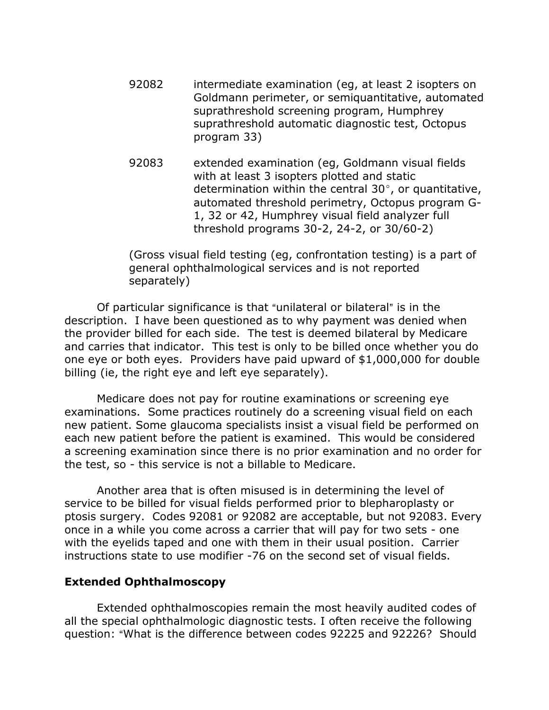- 92082 intermediate examination (eg, at least 2 isopters on Goldmann perimeter, or semiquantitative, automated suprathreshold screening program, Humphrey suprathreshold automatic diagnostic test, Octopus program 33)
- 92083 extended examination (eg, Goldmann visual fields with at least 3 isopters plotted and static determination within the central  $30^{\circ}$ , or quantitative, automated threshold perimetry, Octopus program G-1, 32 or 42, Humphrey visual field analyzer full threshold programs 30-2, 24-2, or 30/60-2)

(Gross visual field testing (eg, confrontation testing) is a part of general ophthalmological services and is not reported separately)

Of particular significance is that "unilateral or bilateral" is in the description. I have been questioned as to why payment was denied when the provider billed for each side. The test is deemed bilateral by Medicare and carries that indicator. This test is only to be billed once whether you do one eye or both eyes. Providers have paid upward of \$1,000,000 for double billing (ie, the right eye and left eye separately).

Medicare does not pay for routine examinations or screening eye examinations. Some practices routinely do a screening visual field on each new patient. Some glaucoma specialists insist a visual field be performed on each new patient before the patient is examined. This would be considered a screening examination since there is no prior examination and no order for the test, so - this service is not a billable to Medicare.

Another area that is often misused is in determining the level of service to be billed for visual fields performed prior to blepharoplasty or ptosis surgery. Codes 92081 or 92082 are acceptable, but not 92083. Every once in a while you come across a carrier that will pay for two sets - one with the eyelids taped and one with them in their usual position. Carrier instructions state to use modifier -76 on the second set of visual fields.

### Extended Ophthalmoscopy

Extended ophthalmoscopies remain the most heavily audited codes of all the special ophthalmologic diagnostic tests. I often receive the following question: "What is the difference between codes 92225 and 92226? Should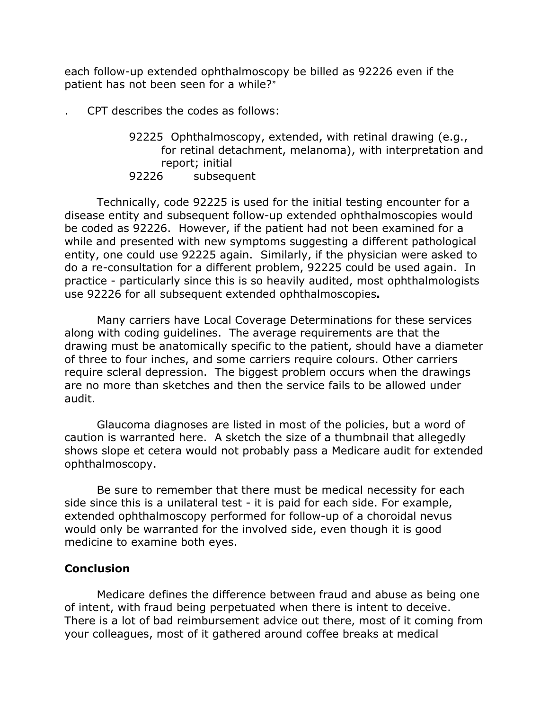each follow-up extended ophthalmoscopy be billed as 92226 even if the patient has not been seen for a while?"

- . CPT describes the codes as follows:
	- 92225 Ophthalmoscopy, extended, with retinal drawing (e.g., for retinal detachment, melanoma), with interpretation and report; initial 92226 subsequent

Technically, code 92225 is used for the initial testing encounter for a disease entity and subsequent follow-up extended ophthalmoscopies would be coded as 92226. However, if the patient had not been examined for a while and presented with new symptoms suggesting a different pathological entity, one could use 92225 again. Similarly, if the physician were asked to do a re-consultation for a different problem, 92225 could be used again. In practice - particularly since this is so heavily audited, most ophthalmologists use 92226 for all subsequent extended ophthalmoscopies.

Many carriers have Local Coverage Determinations for these services along with coding guidelines. The average requirements are that the drawing must be anatomically specific to the patient, should have a diameter of three to four inches, and some carriers require colours. Other carriers require scleral depression. The biggest problem occurs when the drawings are no more than sketches and then the service fails to be allowed under audit.

Glaucoma diagnoses are listed in most of the policies, but a word of caution is warranted here. A sketch the size of a thumbnail that allegedly shows slope et cetera would not probably pass a Medicare audit for extended ophthalmoscopy.

Be sure to remember that there must be medical necessity for each side since this is a unilateral test - it is paid for each side. For example, extended ophthalmoscopy performed for follow-up of a choroidal nevus would only be warranted for the involved side, even though it is good medicine to examine both eyes.

# **Conclusion**

Medicare defines the difference between fraud and abuse as being one of intent, with fraud being perpetuated when there is intent to deceive. There is a lot of bad reimbursement advice out there, most of it coming from your colleagues, most of it gathered around coffee breaks at medical